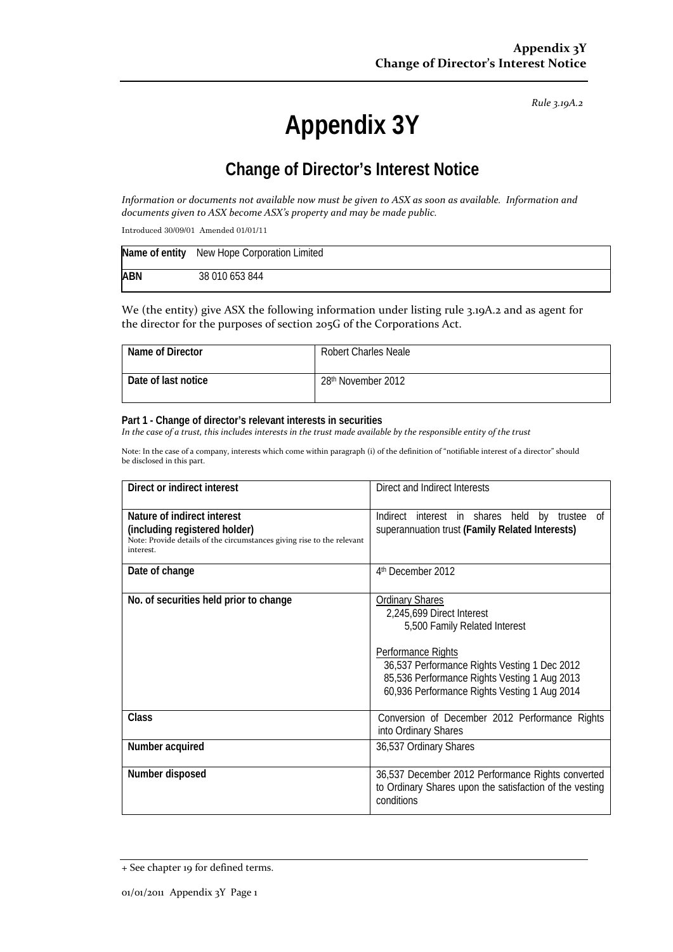*Rule 3.19A.2*

# **Appendix 3Y**

# **Change of Director's Interest Notice**

Information or documents not available now must be given to ASX as soon as available. Information and *documents given to ASX become ASX's property and may be made public.*

Introduced 30/09/01 Amended 01/01/11

|            | Name of entity New Hope Corporation Limited |
|------------|---------------------------------------------|
| <b>ABN</b> | 38 010 653 844                              |

We (the entity) give ASX the following information under listing rule 3.19A.2 and as agent for the director for the purposes of section 205G of the Corporations Act.

| Name of Director    | <b>Robert Charles Neale</b> |
|---------------------|-----------------------------|
| Date of last notice | 28th November 2012          |

#### **Part 1 - Change of director's relevant interests in securities**

In the case of a trust, this includes interests in the trust made available by the responsible entity of the trust

Note: In the case of a company, interests which come within paragraph (i) of the definition of "notifiable interest of a director" should be disclosed in this part.

| Direct or indirect interest                                                                                                                         | Direct and Indirect Interests                                                                                                                                                                                                                              |  |
|-----------------------------------------------------------------------------------------------------------------------------------------------------|------------------------------------------------------------------------------------------------------------------------------------------------------------------------------------------------------------------------------------------------------------|--|
| Nature of indirect interest<br>(including registered holder)<br>Note: Provide details of the circumstances giving rise to the relevant<br>interest. | Indirect interest in shares held by trustee of<br>superannuation trust (Family Related Interests)                                                                                                                                                          |  |
| Date of change                                                                                                                                      | 4 <sup>th</sup> December 2012                                                                                                                                                                                                                              |  |
| No. of securities held prior to change                                                                                                              | <b>Ordinary Shares</b><br>2,245,699 Direct Interest<br>5,500 Family Related Interest<br>Performance Rights<br>36,537 Performance Rights Vesting 1 Dec 2012<br>85,536 Performance Rights Vesting 1 Aug 2013<br>60,936 Performance Rights Vesting 1 Aug 2014 |  |
| Class                                                                                                                                               | Conversion of December 2012 Performance Rights<br>into Ordinary Shares                                                                                                                                                                                     |  |
| Number acquired                                                                                                                                     | 36,537 Ordinary Shares                                                                                                                                                                                                                                     |  |
| Number disposed                                                                                                                                     | 36,537 December 2012 Performance Rights converted<br>to Ordinary Shares upon the satisfaction of the vesting<br>conditions                                                                                                                                 |  |

<sup>+</sup> See chapter 19 for defined terms.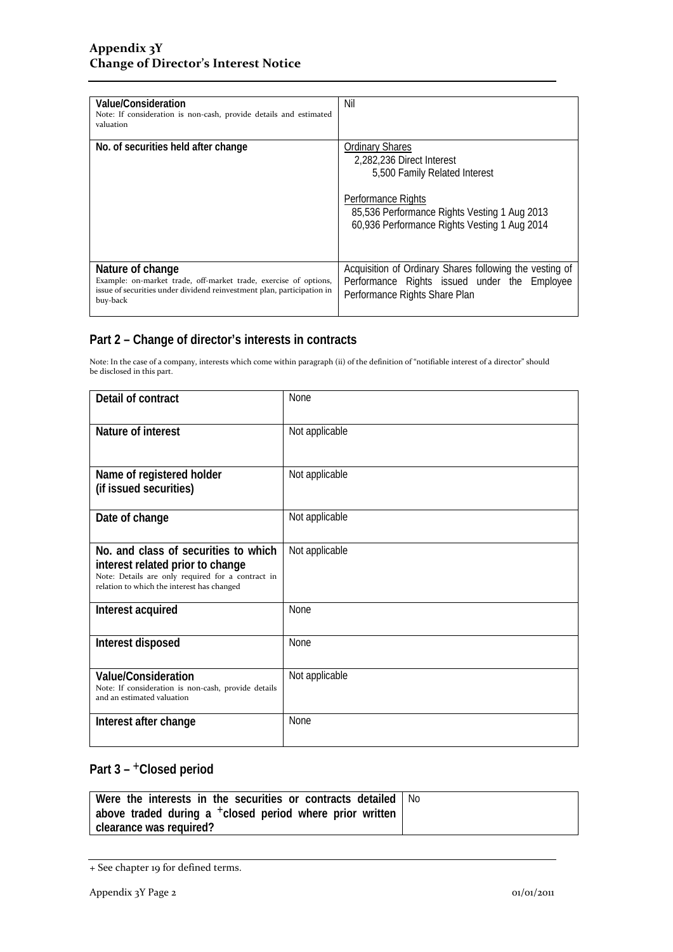| Value/Consideration<br>Note: If consideration is non-cash, provide details and estimated<br>valuation                                                                      | Nil                                                                                                                                                                                                               |
|----------------------------------------------------------------------------------------------------------------------------------------------------------------------------|-------------------------------------------------------------------------------------------------------------------------------------------------------------------------------------------------------------------|
| No. of securities held after change                                                                                                                                        | <b>Ordinary Shares</b><br>2,282,236 Direct Interest<br>5,500 Family Related Interest<br><b>Performance Rights</b><br>85,536 Performance Rights Vesting 1 Aug 2013<br>60,936 Performance Rights Vesting 1 Aug 2014 |
| Nature of change<br>Example: on-market trade, off-market trade, exercise of options,<br>issue of securities under dividend reinvestment plan, participation in<br>buy-back | Acquisition of Ordinary Shares following the vesting of<br>Performance Rights issued under the Employee<br>Performance Rights Share Plan                                                                          |

### **Part 2 – Change of director's interests in contracts**

Note: In the case of a company, interests which come within paragraph (ii) of the definition of "notifiable interest of a director" should be disclosed in this part.

| Detail of contract                                                                                                                                                          | <b>None</b>    |
|-----------------------------------------------------------------------------------------------------------------------------------------------------------------------------|----------------|
| Nature of interest                                                                                                                                                          | Not applicable |
| Name of registered holder<br>(if issued securities)                                                                                                                         | Not applicable |
| Date of change                                                                                                                                                              | Not applicable |
| No. and class of securities to which<br>interest related prior to change<br>Note: Details are only required for a contract in<br>relation to which the interest has changed | Not applicable |
| Interest acquired                                                                                                                                                           | <b>None</b>    |
| Interest disposed                                                                                                                                                           | None           |
| <b>Value/Consideration</b><br>Note: If consideration is non-cash, provide details<br>and an estimated valuation                                                             | Not applicable |
| Interest after change                                                                                                                                                       | <b>None</b>    |

## Part 3 – <sup>+</sup>Closed period

| Were the interests in the securities or contracts detailed   No      |  |
|----------------------------------------------------------------------|--|
| above traded during a <sup>+</sup> closed period where prior written |  |
| clearance was reguired?                                              |  |

<sup>+</sup> See chapter 19 for defined terms.